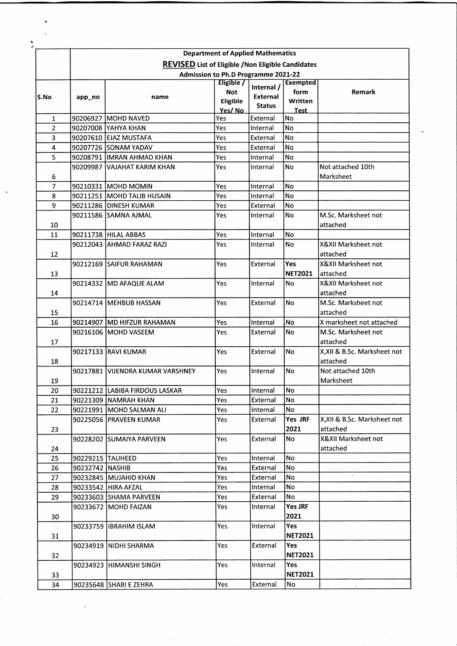|                |                                                                                                  |                                  | <b>Department of Applied Mathematics</b> |                                         |                                    |                                 |  |  |  |  |
|----------------|--------------------------------------------------------------------------------------------------|----------------------------------|------------------------------------------|-----------------------------------------|------------------------------------|---------------------------------|--|--|--|--|
|                | <b>REVISED</b> List of Eligible / Non Eligible Candidates<br>Admission to Ph.D Programme 2021-22 |                                  |                                          |                                         |                                    |                                 |  |  |  |  |
| S.No           |                                                                                                  |                                  |                                          |                                         |                                    |                                 |  |  |  |  |
|                | app_no                                                                                           | name                             | Eligible /<br><b>Not</b><br>Eligible     | Internal /<br>External<br><b>Status</b> | <b>Exempted</b><br>form<br>Written | Remark                          |  |  |  |  |
|                |                                                                                                  |                                  | Yes/No                                   |                                         | Test                               |                                 |  |  |  |  |
| 1              |                                                                                                  | 90206927 MOHD NAVED              | Yes                                      | External                                | No<br><b>No</b>                    |                                 |  |  |  |  |
| $\overline{2}$ |                                                                                                  | 90207008 YAHYA KHAN              | Yes                                      | Internal                                |                                    |                                 |  |  |  |  |
| 3              |                                                                                                  | 90207610 EJAZ MUSTAFA            | Yes                                      | External                                | No                                 |                                 |  |  |  |  |
| 4              |                                                                                                  | 90207726 SONAM YADAV             | Yes                                      | External                                | No                                 |                                 |  |  |  |  |
| 5              |                                                                                                  | 90208791  IMRAN AHMAD KHAN       | Yes                                      | Internal                                | No                                 |                                 |  |  |  |  |
| 6              |                                                                                                  | 90209987 VAJAHAT KARIM KHAN      | Yes                                      | Internal                                | <b>No</b>                          | Not attached 10th<br>Marksheet  |  |  |  |  |
| 7              |                                                                                                  | 90210331 MOHD MOMIN              | Yes                                      | Internal                                | No                                 |                                 |  |  |  |  |
| 8              |                                                                                                  | 90211251   MOHD TALIB HUSAIN     | Yes                                      | Internal                                | No                                 |                                 |  |  |  |  |
| 9              |                                                                                                  | 90211286 DINESH KUMAR            | Yes                                      | External                                | <b>No</b>                          |                                 |  |  |  |  |
|                |                                                                                                  | 90211586 SAMNA AJMAL             | Yes                                      | Internal                                | <b>No</b>                          | M.Sc. Marksheet not             |  |  |  |  |
| 10             |                                                                                                  |                                  |                                          |                                         |                                    | attached                        |  |  |  |  |
| 11             |                                                                                                  | 90211738 HILAL ABBAS             | Yes                                      | Internal                                | No                                 |                                 |  |  |  |  |
| 12             |                                                                                                  | 90212043   AHMAD FARAZ RAZI      | Yes                                      | Internal                                | <b>No</b>                          | X&XII Marksheet not<br>attached |  |  |  |  |
|                |                                                                                                  | 90212169 SAIFUR RAHAMAN          | Yes                                      | External                                | Yes                                | <b>X&amp;XII Marksheet not</b>  |  |  |  |  |
| 13             |                                                                                                  |                                  |                                          |                                         | <b>NET2021</b>                     | attached                        |  |  |  |  |
| 14             |                                                                                                  | 90214332  MD AFAQUE ALAM         | Yes                                      | Internal                                | No                                 | <b>X&amp;XII Marksheet not</b>  |  |  |  |  |
|                |                                                                                                  |                                  |                                          |                                         |                                    | attached                        |  |  |  |  |
|                |                                                                                                  | 90214714 MEHBUB HASSAN           | Yes                                      | External                                | No                                 | M.Sc. Marksheet not             |  |  |  |  |
| 15             |                                                                                                  |                                  |                                          |                                         |                                    | attached                        |  |  |  |  |
| 16             |                                                                                                  | 90214907 IMD HIFZUR RAHAMAN      | Yes                                      | Internal                                | No                                 | X marksheet not attached        |  |  |  |  |
| 17             |                                                                                                  | 90216106 MOHD VASEEM             | Yes                                      | External                                | No.                                | M.Sc. Marksheet not             |  |  |  |  |
|                |                                                                                                  |                                  |                                          |                                         |                                    | attached                        |  |  |  |  |
| 18             |                                                                                                  | 90217133 RAVI KUMAR              | Yes                                      | External                                | <b>No</b>                          | X,XII & B.Sc. Marksheet not     |  |  |  |  |
|                |                                                                                                  |                                  |                                          |                                         |                                    | attached                        |  |  |  |  |
|                |                                                                                                  | 90217881 VIJENDRA KUMAR VARSHNEY | Yes                                      | Internal                                | No                                 | Not attached 10th               |  |  |  |  |
| 19             |                                                                                                  |                                  |                                          |                                         |                                    | Marksheet                       |  |  |  |  |
| 20             |                                                                                                  | 90221212 LABIBA FIRDOUS LASKAR   | Yes                                      | Internal                                | No                                 |                                 |  |  |  |  |
| 21             |                                                                                                  | 90221309   NAMRAH KHAN           | Yes                                      | External                                | No                                 |                                 |  |  |  |  |
| 22             |                                                                                                  | 90221991   MOHD SALMAN ALI       | Yes                                      | Internal                                | No                                 |                                 |  |  |  |  |
|                |                                                                                                  | 90225056  PRAVEEN KUMAR          | Yes                                      | External                                | Yes JRF                            | X.XII & B.Sc. Marksheet not     |  |  |  |  |
|                |                                                                                                  |                                  |                                          |                                         | 2021                               | attached                        |  |  |  |  |
| 23             |                                                                                                  | 90228202 SUMAIYA PARVEEN         | Yes                                      | External                                | No                                 | X&XII Marksheet not             |  |  |  |  |
| 24             |                                                                                                  |                                  |                                          |                                         |                                    | attached                        |  |  |  |  |
| 25             |                                                                                                  | 90229215 TAUHEED                 | Yes                                      | Internal                                | No                                 |                                 |  |  |  |  |
| 26             | 90232742 NASHIB                                                                                  |                                  | Yes                                      | External                                | No                                 |                                 |  |  |  |  |
| 27             |                                                                                                  | 90232845 MUJAHID KHAN            | Yes                                      | External                                | No                                 |                                 |  |  |  |  |
| 28             |                                                                                                  | 90233542   HIRA AFZAL            | Yes                                      | Internal                                | <b>No</b>                          |                                 |  |  |  |  |
| 29             |                                                                                                  | 90233603 SHAMA PARVEEN           | Yes                                      | External                                | No                                 |                                 |  |  |  |  |
|                |                                                                                                  |                                  |                                          |                                         | <b>Yes JRF</b>                     |                                 |  |  |  |  |
| 30             |                                                                                                  | 90233672 MOHD FAIZAN             | Yes                                      | Internal                                | 2021                               |                                 |  |  |  |  |
| 31             |                                                                                                  | 90233759  IBRAHIM ISLAM          | Yes                                      | Internal                                | Yes                                |                                 |  |  |  |  |
|                |                                                                                                  |                                  |                                          |                                         | <b>NET2021</b>                     |                                 |  |  |  |  |
|                |                                                                                                  | 90234919   NIDHI SHARMA          | Yes.                                     | External                                | Yes                                |                                 |  |  |  |  |
| 32             |                                                                                                  |                                  |                                          |                                         | <b>NET2021</b>                     |                                 |  |  |  |  |
|                |                                                                                                  | 90234923 HIMANSHI SINGH          | Yes.                                     | Internal                                | Yes                                |                                 |  |  |  |  |
| 33             |                                                                                                  |                                  |                                          |                                         | <b>NET2021</b>                     |                                 |  |  |  |  |
| 34             |                                                                                                  | 90235648 SHABI E ZEHRA           | Yes                                      | External                                | No                                 |                                 |  |  |  |  |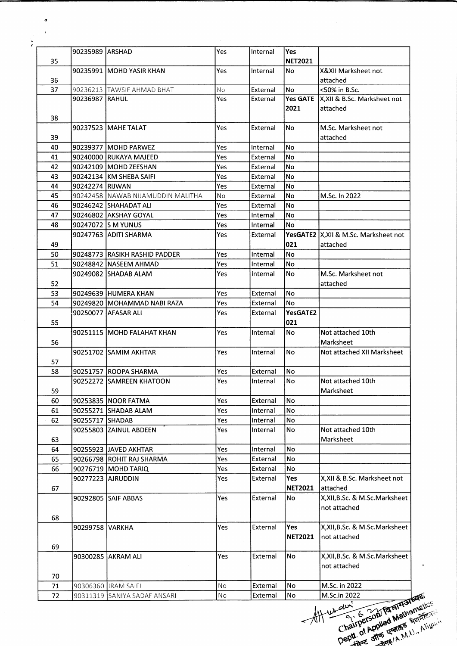|    | 90235989  ARSHAD |                                   | Yes        | Internal | lYes           |                                         |
|----|------------------|-----------------------------------|------------|----------|----------------|-----------------------------------------|
| 35 |                  |                                   |            |          | <b>NET2021</b> |                                         |
|    |                  | 90235991 MOHD YASIR KHAN          | Yes        | Internal | No             | X&XII Marksheet not                     |
| 36 |                  |                                   |            |          |                | attached                                |
| 37 |                  | 90236213 TAWSIF AHMAD BHAT        | No         | External | No             | <50% in B.Sc.                           |
|    | 90236987 RAHUL   |                                   | Yes        | External |                | Yes GATE  X,XII & B.Sc. Marksheet not   |
|    |                  |                                   |            |          | 2021           | attached                                |
| 38 |                  |                                   |            |          |                |                                         |
|    |                  | 90237523 MAHE TALAT               | Yes        | External | No             | M.Sc. Marksheet not                     |
| 39 |                  |                                   |            |          |                | attached                                |
|    |                  |                                   |            |          | No             |                                         |
| 40 |                  | 90239377 MOHD PARWEZ              | Yes        | Internal |                |                                         |
| 41 |                  | 90240000 RUKAYA MAJEED            | Yes        | External | <b>No</b>      |                                         |
| 42 |                  | 90242109 MOHD ZEESHAN             | Yes        | External | No             |                                         |
| 43 |                  | 90242134 KM SHEBA SAIFI           | Yes        | External | No             |                                         |
| 44 | 90242274 RIJWAN  |                                   | Yes        | External | No             |                                         |
| 45 |                  | 90242458 NAWAB NIJAMUDDIN MALITHA | No         | External | No             | M.Sc. In 2022                           |
| 46 |                  | 90246242 SHAHADAT ALI             | Yes        | External | No             |                                         |
| 47 |                  | 90246802 AKSHAY GOYAL             | Yes        | Internal | No             |                                         |
| 48 |                  | 90247072 S M YUNUS                | Yes        | Internal | No             |                                         |
|    |                  | 90247763 ADITI SHARMA             | Yes        | External |                | YesGATE2   X, XII & M.Sc. Marksheet not |
| 49 |                  |                                   |            |          | 021            | attached                                |
| 50 |                  | 90248773 RASIKH RASHID PADDER     | Yes        | Internal | No             |                                         |
| 51 |                  | 190248842  NASEEM AHMAD           | Yes        | Internal | No             |                                         |
|    |                  | 90249082 SHADAB ALAM              | Yes        | Internal | No             | M.Sc. Marksheet not                     |
| 52 |                  |                                   |            |          |                | attached                                |
| 53 |                  | 90249639 HUMERA KHAN              | Yes        | External | No             |                                         |
| 54 |                  | 90249820   MOHAMMAD NABI RAZA     | Yes        | External | No             |                                         |
|    |                  | 90250077 AFASAR ALI               | Yes        | External | YesGATE2       |                                         |
| 55 |                  |                                   |            |          | 021            |                                         |
|    |                  | 90251115 MOHD FALAHAT KHAN        | Yes        | Internal | No             | Not attached 10th                       |
| 56 |                  |                                   |            |          |                | Marksheet                               |
|    |                  | 90251702 SAMIM AKHTAR             |            |          | No             |                                         |
|    |                  |                                   | Yes        | Internal |                | Not attached XII Marksheet              |
| 57 |                  |                                   |            |          |                |                                         |
| 58 |                  | 90251757 ROOPA SHARMA             | Yes        | External | No             |                                         |
|    |                  |                                   | <b>Yes</b> | Internal | No             | Not attached 10th                       |
| 59 |                  |                                   |            |          |                | Marksheet                               |
| 60 |                  | 90253835   NOOR FATMA             | Yes        | External | No             |                                         |
| 61 |                  | 90255271 SHADAB ALAM              | Yes        | Internal | No             |                                         |
| 62 | 90255717 SHADAB  |                                   | Yes        | Internal | No             |                                         |
|    |                  | 90255803 ZAINUL ABDEEN            | Yes        | Internal | <b>No</b>      | Not attached 10th                       |
| 63 |                  |                                   |            |          |                | Marksheet                               |
| 64 |                  | 90255923 JAVED AKHTAR             | Yes        | Internal | No             |                                         |
| 65 |                  | 90266798 ROHIT RAJ SHARMA         | Yes        | External | No             |                                         |
| 66 |                  | 90276719   MOHD TARIQ             | Yes        | External | No             |                                         |
|    |                  | 90277223 AJRUDDIN                 | Yes        | External | Yes            | X, XII & B.Sc. Marksheet not            |
| 67 |                  |                                   |            |          | <b>NET2021</b> | attached                                |
|    |                  | 90292805 SAIF ABBAS               | Yes        | External | No             | X, XII, B.Sc. & M.Sc. Marksheet         |
|    |                  |                                   |            |          |                | not attached                            |
|    |                  |                                   |            |          |                |                                         |
| 68 |                  |                                   | Yes        | External | Yes            | X, XII, B.Sc. & M.Sc. Marksheet         |
|    | 90299758 VARKHA  |                                   |            |          |                |                                         |
|    |                  |                                   |            |          | <b>NET2021</b> | not attached                            |
| 69 |                  |                                   |            |          |                |                                         |
|    |                  | 90300285 AKRAM ALI                | Yes        | External | No             | X, XII, B.Sc. & M.Sc. Marksheet         |
|    |                  |                                   |            |          |                | not attached                            |
| 70 |                  |                                   |            |          |                |                                         |
| 71 |                  | 90306360  IRAM SAIFI              | No.        | External | No             | M.Sc. in 2022                           |
| 72 |                  | 90311319 SANIYA SADAF ANSARI      | No         | External | No             | M.Sc.in 2022                            |
|    |                  |                                   |            |          |                |                                         |

و  $\ddot{\phantom{1}}$ 

**.**ط، AH

 $\hat{\mathbf{z}}$